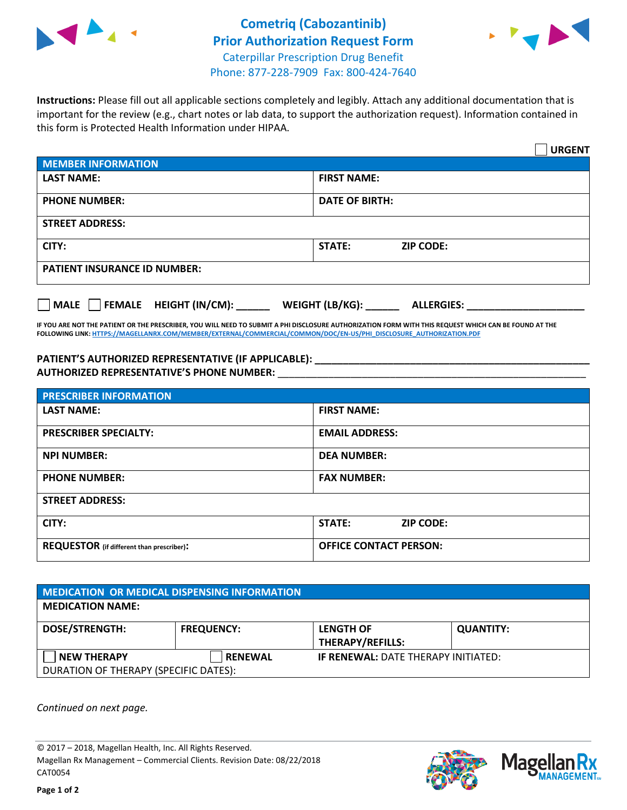



**Instructions:** Please fill out all applicable sections completely and legibly. Attach any additional documentation that is important for the review (e.g., chart notes or lab data, to support the authorization request). Information contained in this form is Protected Health Information under HIPAA.

|                                                | <b>URGENT</b>                        |  |  |  |
|------------------------------------------------|--------------------------------------|--|--|--|
| <b>MEMBER INFORMATION</b>                      |                                      |  |  |  |
| <b>LAST NAME:</b>                              | <b>FIRST NAME:</b>                   |  |  |  |
| <b>PHONE NUMBER:</b>                           | <b>DATE OF BIRTH:</b>                |  |  |  |
| <b>STREET ADDRESS:</b>                         |                                      |  |  |  |
| CITY:                                          | <b>STATE:</b><br><b>ZIP CODE:</b>    |  |  |  |
| <b>PATIENT INSURANCE ID NUMBER:</b>            |                                      |  |  |  |
| $\Box$ FEMALE HEIGHT (IN/CM): _<br><b>MALE</b> | WEIGHT (LB/KG):<br><b>ALLERGIES:</b> |  |  |  |

**IF YOU ARE NOT THE PATIENT OR THE PRESCRIBER, YOU WILL NEED TO SUBMIT A PHI DISCLOSURE AUTHORIZATION FORM WITH THIS REQUEST WHICH CAN BE FOUND AT THE FOLLOWING LINK[: HTTPS://MAGELLANRX.COM/MEMBER/EXTERNAL/COMMERCIAL/COMMON/DOC/EN-US/PHI\\_DISCLOSURE\\_AUTHORIZATION.PDF](https://magellanrx.com/member/external/commercial/common/doc/en-us/PHI_Disclosure_Authorization.pdf)**

**PATIENT'S AUTHORIZED REPRESENTATIVE (IF APPLICABLE): \_\_\_\_\_\_\_\_\_\_\_\_\_\_\_\_\_\_\_\_\_\_\_\_\_\_\_\_\_\_\_\_\_\_\_\_\_\_\_\_\_\_\_\_\_\_\_\_\_ AUTHORIZED REPRESENTATIVE'S PHONE NUMBER:** \_\_\_\_\_\_\_\_\_\_\_\_\_\_\_\_\_\_\_\_\_\_\_\_\_\_\_\_\_\_\_\_\_\_\_\_\_\_\_\_\_\_\_\_\_\_\_\_\_\_\_\_\_\_\_

| <b>PRESCRIBER INFORMATION</b>             |                               |  |  |  |
|-------------------------------------------|-------------------------------|--|--|--|
| <b>LAST NAME:</b>                         | <b>FIRST NAME:</b>            |  |  |  |
| <b>PRESCRIBER SPECIALTY:</b>              | <b>EMAIL ADDRESS:</b>         |  |  |  |
| <b>NPI NUMBER:</b>                        | <b>DEA NUMBER:</b>            |  |  |  |
| <b>PHONE NUMBER:</b>                      | <b>FAX NUMBER:</b>            |  |  |  |
| <b>STREET ADDRESS:</b>                    |                               |  |  |  |
| CITY:                                     | STATE:<br><b>ZIP CODE:</b>    |  |  |  |
| REQUESTOR (if different than prescriber): | <b>OFFICE CONTACT PERSON:</b> |  |  |  |

| <b>MEDICATION OR MEDICAL DISPENSING INFORMATION</b> |                   |                                            |                  |  |  |
|-----------------------------------------------------|-------------------|--------------------------------------------|------------------|--|--|
| <b>MEDICATION NAME:</b>                             |                   |                                            |                  |  |  |
| <b>DOSE/STRENGTH:</b>                               | <b>FREQUENCY:</b> | <b>LENGTH OF</b>                           | <b>QUANTITY:</b> |  |  |
|                                                     |                   | <b>THERAPY/REFILLS:</b>                    |                  |  |  |
| <b>NEW THERAPY</b>                                  | <b>RENEWAL</b>    | <b>IF RENEWAL: DATE THERAPY INITIATED:</b> |                  |  |  |
| DURATION OF THERAPY (SPECIFIC DATES):               |                   |                                            |                  |  |  |

*Continued on next page.*

© 2017 – 2018, Magellan Health, Inc. All Rights Reserved. Magellan Rx Management – Commercial Clients. Revision Date: 08/22/2018 CAT0054